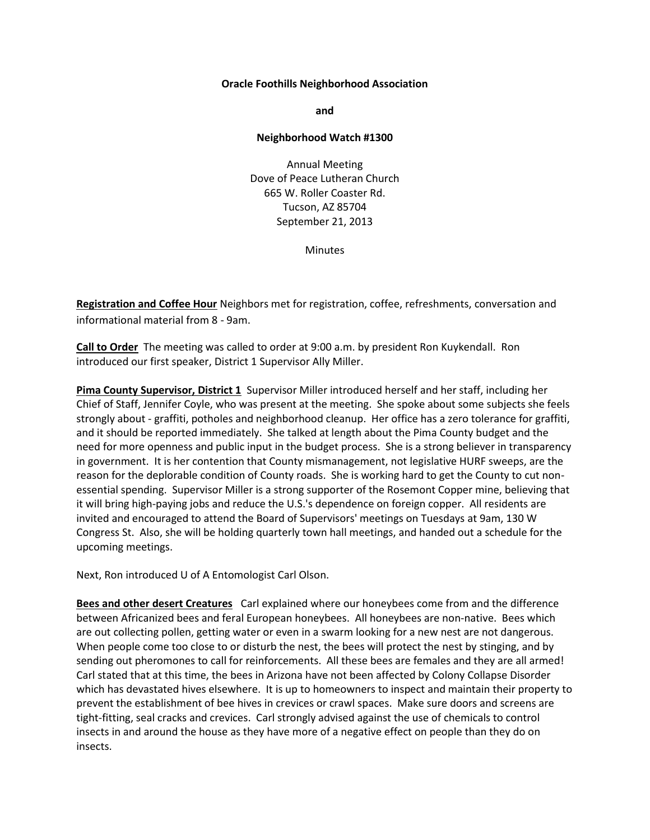## **Oracle Foothills Neighborhood Association**

**and**

## **Neighborhood Watch #1300**

Annual Meeting Dove of Peace Lutheran Church 665 W. Roller Coaster Rd. Tucson, AZ 85704 September 21, 2013

**Minutes** 

**Registration and Coffee Hour** Neighbors met for registration, coffee, refreshments, conversation and informational material from 8 - 9am.

**Call to Order** The meeting was called to order at 9:00 a.m. by president Ron Kuykendall. Ron introduced our first speaker, District 1 Supervisor Ally Miller.

**Pima County Supervisor, District 1** Supervisor Miller introduced herself and her staff, including her Chief of Staff, Jennifer Coyle, who was present at the meeting. She spoke about some subjects she feels strongly about - graffiti, potholes and neighborhood cleanup. Her office has a zero tolerance for graffiti, and it should be reported immediately. She talked at length about the Pima County budget and the need for more openness and public input in the budget process. She is a strong believer in transparency in government. It is her contention that County mismanagement, not legislative HURF sweeps, are the reason for the deplorable condition of County roads. She is working hard to get the County to cut nonessential spending. Supervisor Miller is a strong supporter of the Rosemont Copper mine, believing that it will bring high-paying jobs and reduce the U.S.'s dependence on foreign copper. All residents are invited and encouraged to attend the Board of Supervisors' meetings on Tuesdays at 9am, 130 W Congress St. Also, she will be holding quarterly town hall meetings, and handed out a schedule for the upcoming meetings.

Next, Ron introduced U of A Entomologist Carl Olson.

**Bees and other desert Creatures** Carl explained where our honeybees come from and the difference between Africanized bees and feral European honeybees. All honeybees are non-native. Bees which are out collecting pollen, getting water or even in a swarm looking for a new nest are not dangerous. When people come too close to or disturb the nest, the bees will protect the nest by stinging, and by sending out pheromones to call for reinforcements. All these bees are females and they are all armed! Carl stated that at this time, the bees in Arizona have not been affected by Colony Collapse Disorder which has devastated hives elsewhere. It is up to homeowners to inspect and maintain their property to prevent the establishment of bee hives in crevices or crawl spaces. Make sure doors and screens are tight-fitting, seal cracks and crevices. Carl strongly advised against the use of chemicals to control insects in and around the house as they have more of a negative effect on people than they do on insects.